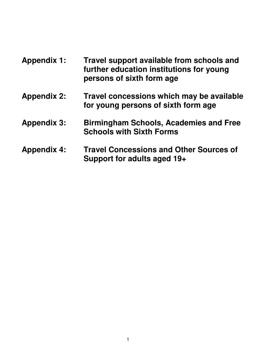| <b>Appendix 1:</b> | Travel support available from schools and<br>further education institutions for young<br>persons of sixth form age |
|--------------------|--------------------------------------------------------------------------------------------------------------------|
| <b>Appendix 2:</b> | Travel concessions which may be available<br>for young persons of sixth form age                                   |
| <b>Appendix 3:</b> | <b>Birmingham Schools, Academies and Free</b><br><b>Schools with Sixth Forms</b>                                   |
| <b>Appendix 4:</b> | <b>Travel Concessions and Other Sources of</b><br>Support for adults aged 19+                                      |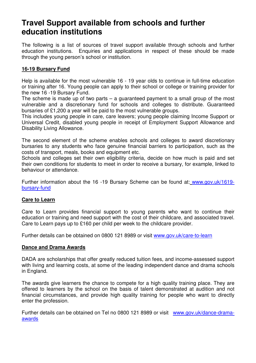# **Travel Support available from schools and further education institutions**

The following is a list of sources of travel support available through schools and further education institutions. Enquiries and applications in respect of these should be made through the young person's school or institution.

# **16-19 Bursary Fund**

Help is available for the most vulnerable 16 - 19 year olds to continue in full-time education or training after 16. Young people can apply to their school or college or training provider for the new 16 -19 Bursary Fund.

The scheme is made up of two parts  $-$  a guaranteed payment to a small group of the most vulnerable and a discretionary fund for schools and colleges to distribute. Guaranteed bursaries of £1,200 a year will be paid to the most vulnerable groups.

This includes young people in care, care leavers; young people claiming Income Support or Universal Credit, disabled young people in receipt of Employment Support Allowance and Disability Living Allowance.

The second element of the scheme enables schools and colleges to award discretionary bursaries to any students who face genuine financial barriers to participation, such as the costs of transport, meals, books and equipment etc.

Schools and colleges set their own eligibility criteria, decide on how much is paid and set their own conditions for students to meet in order to receive a bursary, for example, linked to behaviour or attendance.

Further information about the 16 -19 Bursary Scheme can be found at: www.gov.uk/1619 bursary-fund

# **Care to Learn**

Care to Learn provides financial support to young parents who want to continue their education or training and need support with the cost of their childcare, and associated travel. Care to Learn pays up to £160 per child per week to the childcare provider.

Further details can be obtained on 0800 121 8989 or visit www.gov.uk/care-to-learn

## **Dance and Drama Awards**

DADA are scholarships that offer greatly reduced tuition fees, and income-assessed support with living and learning costs, at some of the leading independent dance and drama schools in England.

The awards give learners the chance to compete for a high quality training place. They are offered to learners by the school on the basis of talent demonstrated at audition and not financial circumstances, and provide high quality training for people who want to directly enter the profession.

Further details can be obtained on Tel no 0800 121 8989 or visit www.gov.uk/dance-dramaawards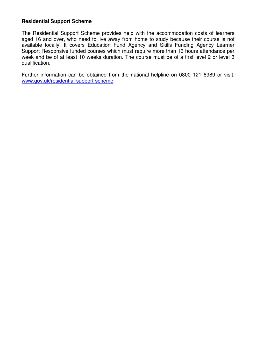# **Residential Support Scheme**

The Residential Support Scheme provides help with the accommodation costs of learners aged 16 and over, who need to live away from home to study because their course is not available locally. It covers Education Fund Agency and Skills Funding Agency Learner Support Responsive funded courses which must require more than 16 hours attendance per week and be of at least 10 weeks duration. The course must be of a first level 2 or level 3 qualification.

Further information can be obtained from the national helpline on 0800 121 8989 or visit: www.gov.uk/residential-support-scheme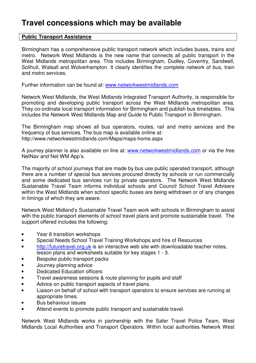# **Travel concessions which may be available**

# **Public Transport Assistance**

Birmingham has a comprehensive public transport network which includes buses, trains and metro. Network West Midlands is the new name that connects all public transport in the West Midlands metropolitan area. This includes Birmingham, Dudley, Coventry, Sandwell, Solihull, Walsall and Wolverhampton. It clearly identifies the complete network of bus, train and metro services.

Further information can be found at: www.networkwestmidlands.com

Network West Midlands, the West Midlands Integrated Transport Authority, is responsible for promoting and developing public transport across the West Midlands metropolitan area. They co-ordinate local transport information for Birmingham and publish bus timetables. This includes the Network West Midlands Map and Guide to Public Transport in Birmingham.

The Birmingham map shows all bus operators, routes, rail and metro services and the frequency of bus services. The bus map is available online at: http://www.networkwestmidlands.com/Maps/maps-home.aspx

A journey planner is also available on line at: www.networkwestmidlands.com or via the free NetNav and Net WM App's.

The majority of school journeys that are made by bus use public operated transport, although there are a number of special bus services procured directly by schools or run commercially and some dedicated bus services run by private operators. The Network West Midlands Sustainable Travel Team informs individual schools and Council School Travel Advisers within the West Midlands when school specific buses are being withdrawn or of any changes in timings of which they are aware.

Network West Midland's Sustainable Travel Team work with schools in Birmingham to assist with the public transport elements of school travel plans and promote sustainable travel. The support offered includes the following:

- Year 6 transition workshops
- Special Needs School Travel Training Workshops and hire of Resources
- http://futuretravel.org.uk is an interactive web site with downloadable teacher notes, lesson plans and worksheets suitable for key stages 1 - 3.
- Bespoke public transport packs
- Journey planning advice
- Dedicated Education officers
- Travel awareness sessions & route planning for pupils and staff
- Advice on public transport aspects of travel plans.
- Liaison on behalf of school with transport operators to ensure services are running at appropriate times.
- Bus behaviour issues
- Attend events to promote public transport and sustainable travel.

Network West Midlands works in partnership with the Safer Travel Police Team, West Midlands Local Authorities and Transport Operators. Within local authorities Network West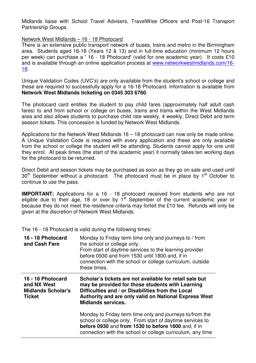Midlands liaise with School Travel Advisers, TravelWise Officers and Post-16 Transport Partnership Groups.

## Network West Midlands – 16 - 18 Photocard

There is an extensive public transport network of buses, trains and metro in the Birmingham area. Students aged 16-18 (Years 12 & 13) and in full-time education (minimum 12 hours per week) can purchase a ' 16 - 18 Photocard' (valid for one academic year). It costs £10 and is available through an online application process at www.networkwestmidlands.com/16- 18.

Unique Validation Codes (UVC's) are only available from the student's school or college and these are required to successfully apply for a 16-18 Photocard. Information is available from **Network West Midlands ticketing on 0345 303 6760**.

The photocard card entitles the student to pay child fares (approximately half adult cash fares) to and from school or college on buses, trains and trams within the West Midlands area and also allows students to purchase child rate weekly, 4 weekly, Direct Debit and term season tickets. This concession is funded by Network West Midlands.

Applications for the Network West Midlands 16 – 18 photocard can now only be made online. A Unique Validation Code is required with every application and these are only available from the school or college the student will be attending. Students cannot apply for one until they enrol. At peak times (the start of the academic year) it normally takes ten working days for the photocard to be returned.

Direct Debit and season tickets may be purchased as soon as they go on sale and used until  $30<sup>th</sup>$  September without a photocard. The photocard must be in place by 1<sup>st</sup> October to continue to use the pass.

**IMPORTANT:** Applications for a 16 - 18 photocard received from students who are not eligible due to their age, 18 or over by  $1<sup>st</sup>$  September of the current academic year or because they do not meet the residence criteria may forfeit the £10 fee. Refunds will only be given at the discretion of Network West Midlands.

The 16 - 18 Photocard is valid during the following times:

| 16 - 18 Photocard<br>and Cash Fare                                             | Monday to Friday term time only and journeys to / from<br>the school or college only.<br>From start of daytime services to the learning provider<br>before 0930 and from 1530 until 1800 and, if in<br>connection with the school or college curriculum, outside<br>these times. |
|--------------------------------------------------------------------------------|----------------------------------------------------------------------------------------------------------------------------------------------------------------------------------------------------------------------------------------------------------------------------------|
| 16 - 18 Photocard<br>and NX West<br><b>Midlands Scholar's</b><br><b>Ticket</b> | Scholar's tickets are not available for retail sale but<br>may be provided for those students with Learning<br>Difficulties and / or Disabilities from the Local<br>Authority and are only valid on National Express West<br><b>Midlands services.</b>                           |
|                                                                                | Monday to Friday term time only and journeys to/from the<br>school or college only. From start of daytime services to<br>before 0930 and from 1530 to before 1800 and, if in<br>connection with the school or college curriculum, any time                                       |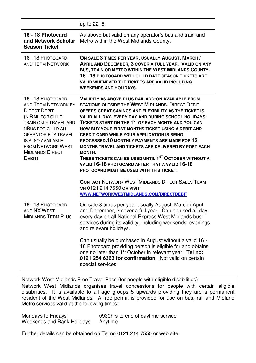|                                                                                                                                                                                                                                                                      | up to 2215.                                                                                                                                                                                                                                                                                                                                                                                                                                                                                                                                                                                                                                                                                                      |
|----------------------------------------------------------------------------------------------------------------------------------------------------------------------------------------------------------------------------------------------------------------------|------------------------------------------------------------------------------------------------------------------------------------------------------------------------------------------------------------------------------------------------------------------------------------------------------------------------------------------------------------------------------------------------------------------------------------------------------------------------------------------------------------------------------------------------------------------------------------------------------------------------------------------------------------------------------------------------------------------|
| 16 - 18 Photocard<br>and Network Scholar<br><b>Season Ticket</b>                                                                                                                                                                                                     | As above but valid on any operator's bus and train and<br>Metro within the West Midlands County.                                                                                                                                                                                                                                                                                                                                                                                                                                                                                                                                                                                                                 |
| 16 - 18 PHOTOCARD<br><b>AND TERM NETWORK</b>                                                                                                                                                                                                                         | ON SALE 3 TIMES PER YEAR, USUALLY AUGUST, MARCH /<br>APRIL AND DECEMBER, 3 COVER A FULL YEAR. VALID ON ANY<br>BUS, TRAIN OR METRO WITHIN THE WEST MIDLANDS COUNTY.<br>16 - 18 PHOTOCARD WITH CHILD RATE SEASON TICKETS ARE<br><b>VALID WHENEVER THE TICKETS ARE VALID INCLUDING</b><br><b>WEEKENDS AND HOLIDAYS.</b>                                                                                                                                                                                                                                                                                                                                                                                             |
| 16 - 18 PHOTOCARD<br><b>AND TERM NETWORK BY</b><br><b>DIRECT DEBIT</b><br>(N RAIL FOR CHILD<br>TRAIN ONLY TRAVEL AND<br><b>NBUS FOR CHILD ALL</b><br>OPERATOR BUS TRAVEL<br><b>IS ALSO AVAILABLE</b><br><b>FROM NETWORK WEST</b><br><b>MIDLANDS DIRECT</b><br>DEBIT) | <b>VALIDITY AS ABOVE PLUS RAIL ADD-ON AVAILABLE FROM</b><br><b>STATIONS OUTSIDE THE WEST MIDLANDS. DIRECT DEBIT</b><br>OFFERS GREAT SAVINGS AND FLEXIBILITY AS THE TICKET IS<br>VALID ALL DAY, EVERY DAY AND DURING SCHOOL HOLIDAYS.<br>TICKETS START ON THE 1 <sup>ST</sup> OF EACH MONTH AND YOU CAN<br>NOW BUY YOUR FIRST MONTHS TICKET USING A DEBIT AND<br><b>CREDIT CARD WHILE YOUR APPLICATION IS BEING</b><br>PROCESSED. 10 MONTHLY PAYMENTS ARE MADE FOR 12<br>MONTHS TRAVEL AND TICKETS ARE DELIVERED BY POST EACH<br><b>MONTH.</b><br>THESE TICKETS CAN BE USED UNTIL 1 <sup>ST</sup> OCTOBER WITHOUT A<br>VALID 16-18 PHOTOCARD AFTER THAT A VALID 16-18<br>PHOTOCARD MUST BE USED WITH THIS TICKET. |
|                                                                                                                                                                                                                                                                      | <b>CONTACT NETWORK WEST MIDLANDS DIRECT SALES TEAM</b><br>ON 0121 214 7550 OR VISIT<br>WWW.NETWORKWESTMIDLANDS.COM/DIRECTDEBIT                                                                                                                                                                                                                                                                                                                                                                                                                                                                                                                                                                                   |
| 16 - 18 PHOTOCARD<br>AND NX WEST<br><b>MIDLANDS TERM PLUS</b>                                                                                                                                                                                                        | On sale 3 times per year usually August, March / April<br>and December, 3 cover a full year. Can be used all day,<br>every day on all National Express West Midlands bus<br>services during its validity, including weekends, evenings<br>and relevant holidays.                                                                                                                                                                                                                                                                                                                                                                                                                                                 |
|                                                                                                                                                                                                                                                                      | Can usually be purchased in August without a valid 16 -<br>18 Photocard providing person is eligible for and obtains<br>one no later than 1 <sup>st</sup> October in relevant year. Tel no:<br>0121 254 6363 for confirmation. Not valid on certain<br>special services.                                                                                                                                                                                                                                                                                                                                                                                                                                         |

Network West Midlands Free Travel Pass (for people with eligible disabilities)

Network West Midlands organises travel concessions for people with certain eligible disabilities. It is available to all age groups 5 upwards providing they are a permanent resident of the West Midlands. A free permit is provided for use on bus, rail and Midland Metro services valid at the following times:

Mondays to Fridays 0930hrs to end of daytime service Weekends and Bank Holidays Anytime

Further details can be obtained on Tel no 0121 214 7550 or web site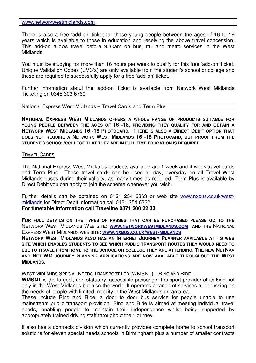There is also a free 'add-on' ticket for those young people between the ages of 16 to 18 years which is available to those in education and receiving the above travel concession. This add-on allows travel before 9.30am on bus, rail and metro services in the West Midlands.

You must be studying for more than 16 hours per week to qualify for this free 'add-on' ticket. Unique Validation Codes (UVC's) are only available from the student's school or college and these are required to successfully apply for a free 'add-on' ticket.

Further information about the 'add-on' ticket is available from Network West Midlands Ticketing on 0345 303 6760.

# National Express West Midlands – Travel Cards and Term Plus

**NATIONAL EXPRESS WEST MIDLANDS OFFERS A WHOLE RANGE OF PRODUCTS SUITABLE FOR YOUNG PEOPLE BETWEEN THE AGES OF 16 -18, PROVIDING THEY QUALIFY FOR AND OBTAIN A NETWORK WEST MIDLANDS 16 -18 PHOTOCARD. THERE IS ALSO A DIRECT DEBIT OPTION THAT DOES NOT REQUIRE A NETWORK WEST MIDLANDS 16 -18 PHOTOCARD, BUT PROOF FROM THE STUDENT'S SCHOOL/COLLEGE THAT THEY ARE IN FULL TIME EDUCATION IS REQUIRED.** 

## TRAVEL CARDS

The National Express West Midlands products available are 1 week and 4 week travel cards and Term Plus. These travel cards can be used all day, everyday on all Travel West Midlands buses during their validity, as many times as required. Term Plus is available by Direct Debit you can apply to join the scheme whenever you wish.

Further details can be obtained on 0121 254 6363 or web site www.nxbus.co.uk/westmidlands for Direct Debit information call 0121 254 6322.

## **For timetable information call Traveline 0871 200 22 33.**

**FOR FULL DETAILS ON THE TYPES OF PASSES THAT CAN BE PURCHASED PLEASE GO TO THE**  NETWORK WEST MIDLANDS WEB SITE**: WWW.NETWORKWESTMIDLANDS.COM AND THE** NATIONAL EXPRESS WEST MIDLANDS WEB SITE**: WWW.NXBUS.CO.UK/WEST-MIDLANDS**

**NETWORK WEST MIDLANDS ALSO HAS AN INTERNET JOURNEY PLANNER AVAILABLE AT ITS WEB SITE WHICH ENABLES STUDENTS TO SEE WHICH PUBLIC TRANSPORT ROUTES THEY WOULD NEED TO USE TO TRAVEL FROM HOME TO THE SCHOOL OR COLLEGE THEY ARE ATTENDING. THE NEW NETNAV AND NET WM JOURNEY PLANNING APPLICATIONS ARE NOW AVAILABLE THROUGHOUT THE WEST MIDLANDS.** 

## WEST MIDLANDS SPECIAL NEEDS TRANSPORT LTD (WMSNT) – RING AND RIDE

**WMSNT** is the largest, non-statutory, accessible passenger transport provider of its kind not only in the West Midlands but also the world. It operates a range of services all focussing on the needs of people with limited mobility in the West Midlands urban area.

These include Ring and Ride, a door to door bus service for people unable to use mainstream public transport provision. Ring and Ride is aimed at meeting individual travel needs, enabling people to maintain their independence whilst being supported by appropriately trained driving staff throughout their journey.

It also has a contracts division which currently provides complete home to school transport solutions for eleven special needs schools in Birmingham plus a number of smaller contracts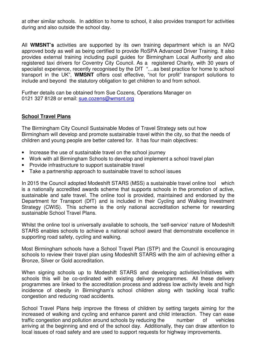at other similar schools. In addition to home to school, it also provides transport for activities during and also outside the school day.

All **WMSNT's** activities are supported by its own training department which is an NVQ approved body as well as being certified to provide RoSPA Advanced Driver Training. It also provides external training including pupil guides for Birmingham Local Authority and also registered taxi drivers for Coventry City Council. As a registered Charity, with 30 years of specialist experience, recently recognised by the DfT "....as best practice for home to school transport in the UK", **WMSNT** offers cost effective, "not for profit" transport solutions to include and beyond the statutory obligation to get children to and from school.

Further details can be obtained from Sue Cozens, Operations Manager on 0121 327 8128 or email: sue.cozens@wmsnt.org

## **School Travel Plans**

The Birmingham City Council Sustainable Modes of Travel Strategy sets out how Birmingham will develop and promote sustainable travel within the city, so that the needs of children and young people are better catered for. It has four main objectives:

- Increase the use of sustainable travel on the school journey
- Work with all Birmingham Schools to develop and implement a school travel plan
- Provide infrastructure to support sustainable travel
- Take a partnership approach to sustainable travel to school issues

In 2015 the Council adopted Modeshift STARS (MSS) a sustainable travel online tool which is a nationally accredited awards scheme that supports schools in the promotion of active, sustainable and safe travel. The online tool is provided, maintained and endorsed by the Department for Transport (DfT) and is included in their Cycling and Walking Investment Strategy (CWIS). This scheme is the only national accreditation scheme for rewarding sustainable School Travel Plans.

Whilst the online tool is universally available to schools, the 'self-service' nature of Modeshift STARS enables schools to achieve a national school award that demonstrate excellence in supporting road safety, cycling and walking.

Most Birmingham schools have a School Travel Plan (STP) and the Council is encouraging schools to review their travel plan using Modeshift STARS with the aim of achieving either a Bronze, Silver or Gold accreditation.

When signing schools up to Modeshift STARS and developing activities/initiatives with schools this will be co-ordinated with existing delivery programmes. All these delivery programmes are linked to the accreditation process and address low activity levels and high incidence of obesity in Birmingham's school children along with tackling local traffic congestion and reducing road accidents.

School Travel Plans help improve the fitness of children by setting targets aiming for the increased of walking and cycling and enhance parent and child interaction. They can ease traffic congestion and pollution around schools by reducing the number of vehicles arriving at the beginning and end of the school day. Additionally, they can draw attention to local issues of road safety and are used to support requests for highway improvements.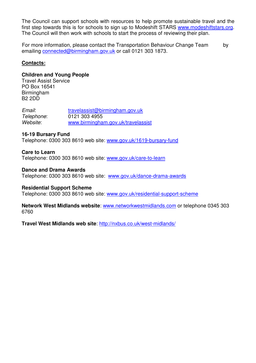The Council can support schools with resources to help promote sustainable travel and the first step towards this is for schools to sign up to Modeshift STARS www.modeshiftstars.org. The Council will then work with schools to start the process of reviewing their plan.

For more information, please contact the Transportation Behaviour Change Team by emailing connected@birmingham.gov.uk or call 0121 303 1873.

# **Contacts:**

## **Children and Young People**

Travel Assist Service PO Box 16541 Birmingham B2 2DD

Email: travelassist@birmingham.gov.uk Telephone: 0121 303 4955 Website: www.birmingham.gov.uk/travelassist

# **16-19 Bursary Fund**

Telephone: 0300 303 8610 web site: www.gov.uk/1619-bursary-fund

## **Care to Learn**

Telephone: 0300 303 8610 web site: www.gov.uk/care-to-learn

## **Dance and Drama Awards**

Telephone: 0300 303 8610 web site: www.gov.uk/dance-drama-awards

## **Residential Support Scheme**

Telephone: 0300 303 8610 web site: www.gov.uk/residential-support-scheme

**Network West Midlands website**: www.networkwestmidlands.com or telephone 0345 303 6760

**Travel West Midlands web site**: http://nxbus.co.uk/west-midlands/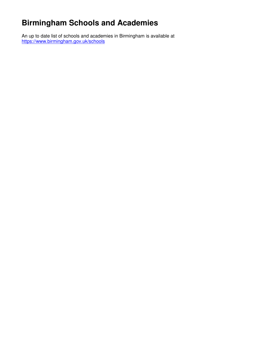# **Birmingham Schools and Academies**

An up to date list of schools and academies in Birmingham is available at https://www.birmingham.gov.uk/schools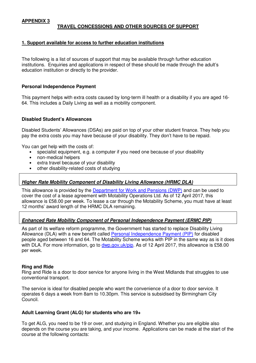## **APPENDIX 3**

## **TRAVEL CONCESSIONS AND OTHER SOURCES OF SUPPORT**

### **1. Support available for access to further education institutions**

The following is a list of sources of support that may be available through further education institutions. Enquiries and applications in respect of these should be made through the adult's education institution or directly to the provider.

### **Personal Independence Payment**

This payment helps with extra costs caused by long-term ill health or a disability if you are aged 16- 64. This includes a Daily Living as well as a mobility component.

### **Disabled Student's Allowances**

Disabled Students' Allowances (DSAs) are paid on top of your other student finance. They help you pay the extra costs you may have because of your disability. They don't have to be repaid.

You can get help with the costs of:

- specialist equipment, e.g. a computer if you need one because of your disability
- non-medical helpers
- extra travel because of your disability
- other disability-related costs of studying

### **Higher Rate Mobility Component of Disability Living Allowance (HRMC DLA)**

This allowance is provided by the Department for Work and Pensions (DWP) and can be used to cover the cost of a lease agreement with Motability Operations Ltd. As of 12 April 2017, this allowance is £58.00 per week. To lease a car through the Motability Scheme, you must have at least 12 months' award length of the HRMC DLA remaining.

#### **Enhanced Rate Mobility Component of Personal Independence Payment (ERMC PIP)**

As part of its welfare reform programme, the Government has started to replace Disability Living Allowance (DLA) with a new benefit called Personal Independence Payment (PIP) for disabled people aged between 16 and 64. The Motability Scheme works with PIP in the same way as is it does with DLA. For more information, go to dwp.gov.uk/pip. As of 12 April 2017, this allowance is £58.00 per week.

#### **Ring and Ride**

Ring and Ride is a door to door service for anyone living in the West Midlands that struggles to use conventional transport.

The service is ideal for disabled people who want the convenience of a door to door service. It operates 6 days a week from 8am to 10.30pm. This service is subsidised by Birmingham City Council.

#### **Adult Learning Grant (ALG) for students who are 19+**

To get ALG, you need to be 19 or over, and studying in England. Whether you are eligible also depends on the course you are taking, and your income. Applications can be made at the start of the course at the following contacts: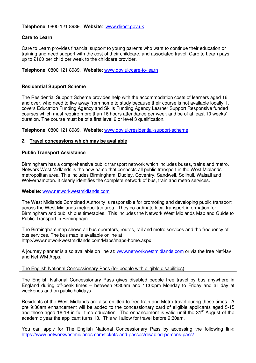**Telephone**: 0800 121 8989. **Website**:www.direct.gov.uk

## **Care to Learn**

Care to Learn provides financial support to young parents who want to continue their education or training and need support with the cost of their childcare, and associated travel. Care to Learn pays up to £160 per child per week to the childcare provider.

**Telephone**: 0800 121 8989. **Website**: www.gov.uk/care-to-learn

### **Residential Support Scheme**

The Residential Support Scheme provides help with the accommodation costs of learners aged 16 and over, who need to live away from home to study because their course is not available locally. It covers Education Funding Agency and Skills Funding Agency Learner Support Responsive funded courses which must require more than 16 hours attendance per week and be of at least 10 weeks' duration. The course must be of a first level 2 or level 3 qualification.

**Telephone**: 0800 121 8989. **Website**: www.gov.uk/residential-support-scheme

### **2. Travel concessions which may be available**

### **Public Transport Assistance**

Birmingham has a comprehensive public transport network which includes buses, trains and metro. Network West Midlands is the new name that connects all public transport in the West Midlands metropolitan area. This includes Birmingham, Dudley, Coventry, Sandwell, Solihull, Walsall and Wolverhampton. It clearly identifies the complete network of bus, train and metro services.

**Website**: www.networkwestmidlands.com

The West Midlands Combined Authority is responsible for promoting and developing public transport across the West Midlands metropolitan area. They co-ordinate local transport information for Birmingham and publish bus timetables. This includes the Network West Midlands Map and Guide to Public Transport in Birmingham.

The Birmingham map shows all bus operators, routes, rail and metro services and the frequency of bus services. The bus map is available online at: http://www.networkwestmidlands.com/Maps/maps-home.aspx

A journey planner is also available on line at: www.networkwestmidlands.com or via the free NetNav and Net WM Apps.

The English National Concessionary Pass (for people with eligible disabilities)

The English National Concessionary Pass gives disabled people free travel by bus anywhere in England during off-peak times – between 9:30am and 11:00pm Monday to Friday and all day at weekends and on public holidays.

Residents of the West Midlands are also entitled to free train and Metro travel during these times. A pre 9:30am enhancement will be added to the concessionary card of eligible applicants aged 5-15 and those aged 16-18 in full time education. The enhancement is valid until the 31<sup>st</sup> August of the academic year the applicant turns 18. This will allow for travel before 9:30am.

You can apply for The English National Concessionary Pass by accessing the following link: https://www.networkwestmidlands.com/tickets-and-passes/disabled-persons-pass/